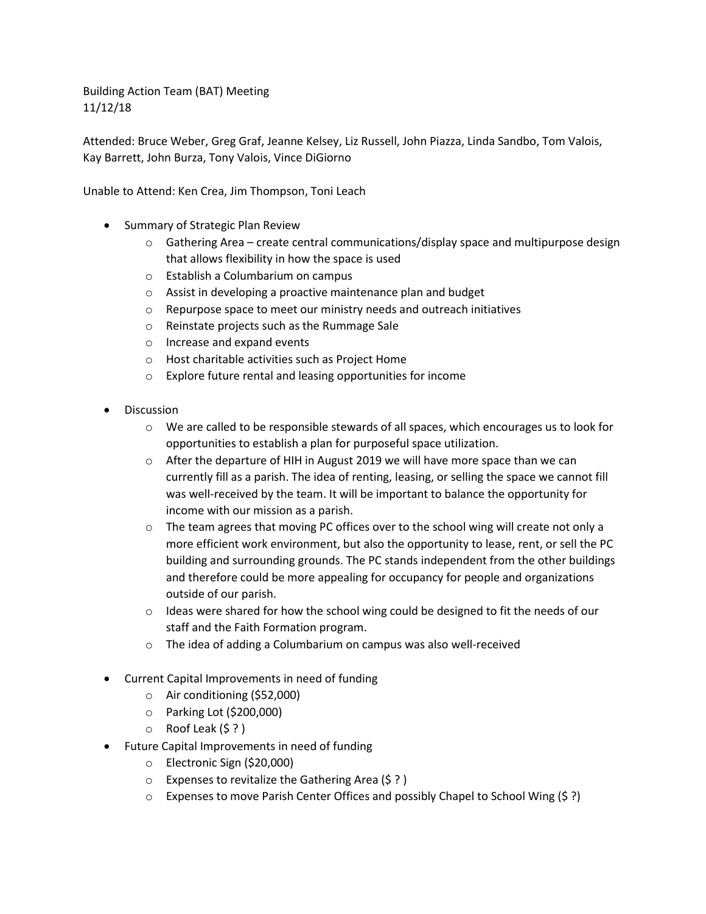Building Action Team (BAT) Meeting 11/12/18

Attended: Bruce Weber, Greg Graf, Jeanne Kelsey, Liz Russell, John Piazza, Linda Sandbo, Tom Valois, Kay Barrett, John Burza, Tony Valois, Vince DiGiorno

Unable to Attend: Ken Crea, Jim Thompson, Toni Leach

- Summary of Strategic Plan Review
	- $\circ$  Gathering Area create central communications/display space and multipurpose design that allows flexibility in how the space is used
	- o Establish a Columbarium on campus
	- o Assist in developing a proactive maintenance plan and budget
	- o Repurpose space to meet our ministry needs and outreach initiatives
	- o Reinstate projects such as the Rummage Sale
	- o Increase and expand events
	- o Host charitable activities such as Project Home
	- o Explore future rental and leasing opportunities for income
- Discussion
	- $\circ$  We are called to be responsible stewards of all spaces, which encourages us to look for opportunities to establish a plan for purposeful space utilization.
	- $\circ$  After the departure of HIH in August 2019 we will have more space than we can currently fill as a parish. The idea of renting, leasing, or selling the space we cannot fill was well-received by the team. It will be important to balance the opportunity for income with our mission as a parish.
	- $\circ$  The team agrees that moving PC offices over to the school wing will create not only a more efficient work environment, but also the opportunity to lease, rent, or sell the PC building and surrounding grounds. The PC stands independent from the other buildings and therefore could be more appealing for occupancy for people and organizations outside of our parish.
	- $\circ$  Ideas were shared for how the school wing could be designed to fit the needs of our staff and the Faith Formation program.
	- o The idea of adding a Columbarium on campus was also well-received
- Current Capital Improvements in need of funding
	- o Air conditioning (\$52,000)
	- o Parking Lot (\$200,000)
	- o Roof Leak (\$ ? )
- Future Capital Improvements in need of funding
	- o Electronic Sign (\$20,000)
	- o Expenses to revitalize the Gathering Area (\$ ? )
	- o Expenses to move Parish Center Offices and possibly Chapel to School Wing (\$ ?)